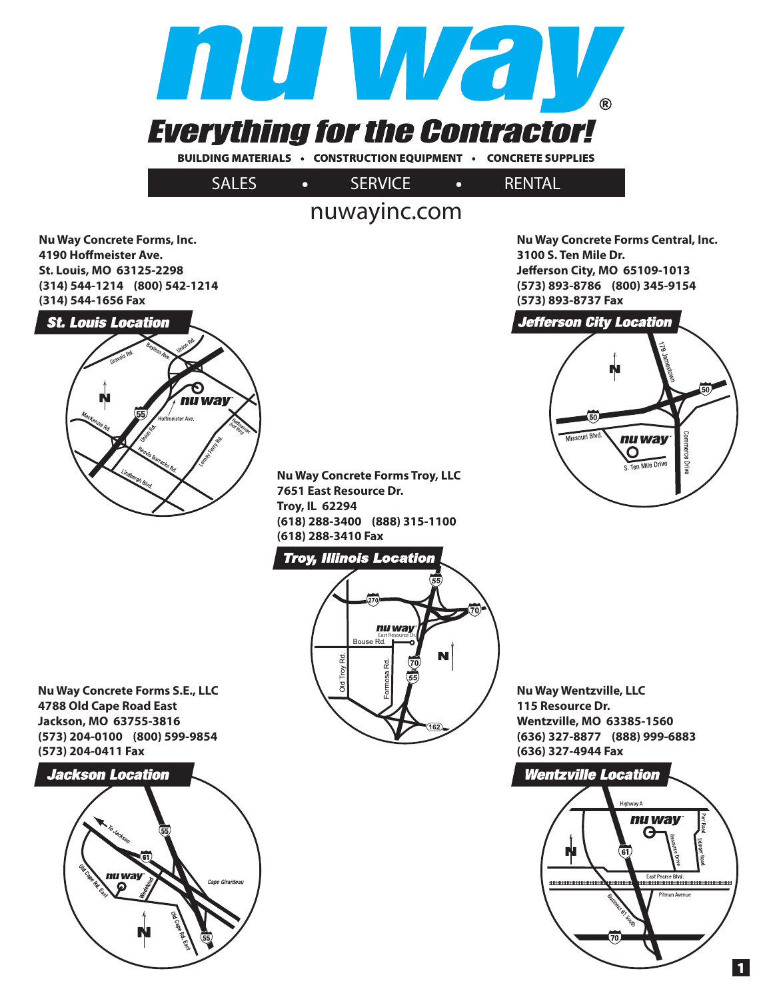

## nuwayinc.com

**Nu Way Concrete Forms, Inc. 4190 Hoffmeister Ave. St. Louis, MO 63125-2298 (314) 544-1214 (800) 542-1214 (314) 544-1656 Fax**

**St. Louis Location** nu way

**Nu Way Concrete Forms Troy, LLC 7651 East Resource Dr. Troy, IL 62294 (618) 288-3400 (888) 315-1100 (618) 288-3410 Fax**

### **Troy, Illinois Location**



**Nu Way Wentzville, LLC 115 Resource Dr. Wentzville, MO 63385-1560 (636) 327-8877 (888) 999-6883 (636) 327-4944 Fax**

**Nu Way Concrete Forms Central, Inc.** 

50

merce Driv

**Jeff erson City, MO 65109-1013 (573) 893-8786 (800) 345-9154**

**Jefferson City Location** 

Missouri Blvd.

nu way

 $\mathbf{O}$ Ten Mile Drive

**3100 S. Ten Mile Dr.** 

**(573) 893-8737 Fax**



**Nu Way Concrete Forms S.E., LLC 4788 Old Cape Road East Jackson, MO 63755-3816 (573) 204-0100 (800) 599-9854 (573) 204-0411 Fax**

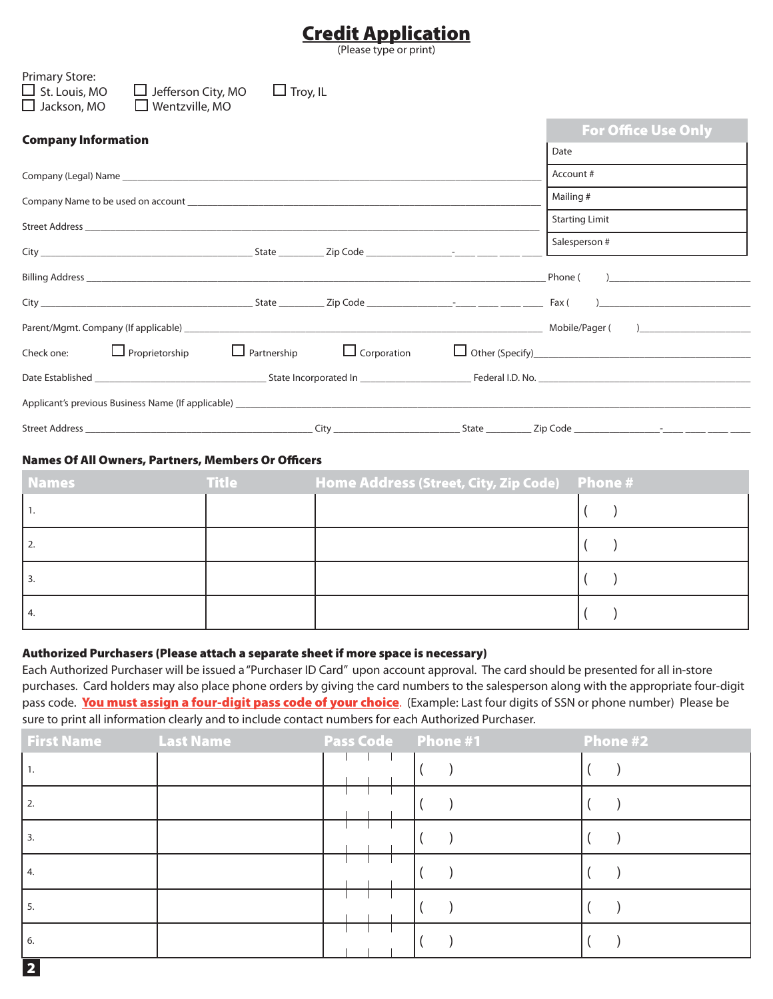## **Credit Application**

(Please type or print)

| Primary Store:<br>$\Box$ St. Louis, MO<br>$\Box$ Jefferson City, MO<br>$\Box$ Jackson, MO<br>$\Box$ Wentzville, MO                                                                                                             | $\Box$ Troy, IL    |             |                            |
|--------------------------------------------------------------------------------------------------------------------------------------------------------------------------------------------------------------------------------|--------------------|-------------|----------------------------|
| <b>Company Information</b>                                                                                                                                                                                                     |                    |             | <b>For Office Use Only</b> |
|                                                                                                                                                                                                                                |                    |             | Date                       |
|                                                                                                                                                                                                                                |                    |             | Account #                  |
| Company Name to be used on account example and a series of the series of the series of the series of the series of the series of the series of the series of the series of the series of the series of the series of the serie |                    |             | Mailing #                  |
|                                                                                                                                                                                                                                |                    |             | <b>Starting Limit</b>      |
|                                                                                                                                                                                                                                |                    |             | Salesperson #              |
|                                                                                                                                                                                                                                |                    |             | Phone ( )                  |
|                                                                                                                                                                                                                                |                    |             |                            |
|                                                                                                                                                                                                                                |                    |             |                            |
| $\Box$ Proprietorship<br>Check one:                                                                                                                                                                                            | $\Box$ Partnership | Corporation |                            |
|                                                                                                                                                                                                                                |                    |             |                            |
| Applicant's previous Business Name (If applicable) <b>Accord 2018</b> 2019 12:00:00 Applicant 2019 12:00:00 Applicant 2019                                                                                                     |                    |             |                            |
|                                                                                                                                                                                                                                |                    |             |                            |

#### **Names Of All Owners, Partners, Members Or Officers**

| <b>Names</b> | <b>Title</b> |  |
|--------------|--------------|--|
|              |              |  |
| <u>L.</u>    |              |  |
|              |              |  |
| 4.           |              |  |

#### **Authorized Purchasers (Please attach a separate sheet if more space is necessary)**

Each Authorized Purchaser will be issued a "Purchaser ID Card" upon account approval. The card should be presented for all in-store purchases. Card holders may also place phone orders by giving the card numbers to the salesperson along with the appropriate four-digit pass code. **You must assign a four-digit pass code of your choice**. (Example: Last four digits of SSN or phone number) Please be sure to print all information clearly and to include contact numbers for each Authorized Purchaser.

| <b>First Name</b> Last Name |  | <b>Pass Code Phone #1</b> | Phone #2 |
|-----------------------------|--|---------------------------|----------|
|                             |  |                           |          |
| 2.                          |  |                           |          |
| 3.                          |  |                           |          |
| 4.                          |  |                           |          |
| -5.                         |  |                           |          |
| 6.                          |  |                           |          |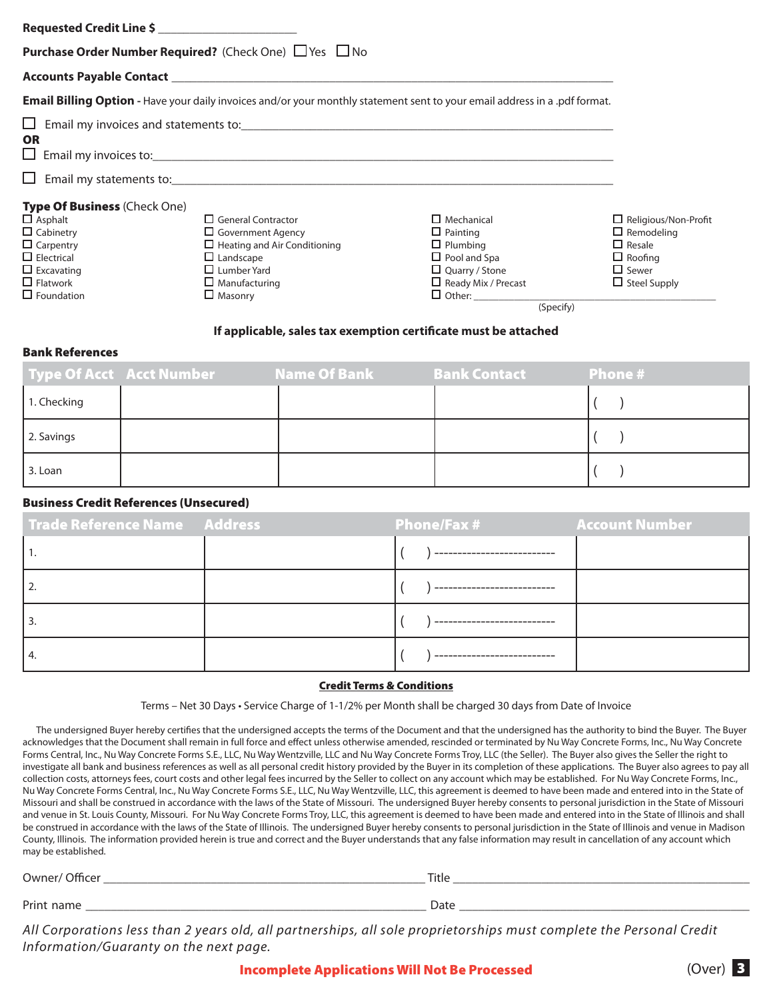| Requested Credit Line \$                                      |                                                                                                                                                                                                                                |                            |                             |  |  |
|---------------------------------------------------------------|--------------------------------------------------------------------------------------------------------------------------------------------------------------------------------------------------------------------------------|----------------------------|-----------------------------|--|--|
| <b>Purchase Order Number Required?</b> (Check One) □ Yes □ No |                                                                                                                                                                                                                                |                            |                             |  |  |
|                                                               |                                                                                                                                                                                                                                |                            |                             |  |  |
|                                                               | <b>Email Billing Option</b> - Have your daily invoices and/or your monthly statement sent to your email address in a .pdf format.                                                                                              |                            |                             |  |  |
| ப                                                             | Email my invoices and statements to: example and the state of the state of the state of the state of the state of the state of the state of the state of the state of the state of the state of the state of the state of the  |                            |                             |  |  |
| <b>OR</b><br>ப                                                | Email my invoices to: example and a series of the series of the series of the series of the series of the series of the series of the series of the series of the series of the series of the series of the series of the seri |                            |                             |  |  |
|                                                               |                                                                                                                                                                                                                                |                            |                             |  |  |
| <b>Type Of Business (Check One)</b>                           |                                                                                                                                                                                                                                |                            |                             |  |  |
| $\Box$ Asphalt                                                | $\Box$ General Contractor                                                                                                                                                                                                      | $\Box$ Mechanical          | $\Box$ Religious/Non-Profit |  |  |
| $\Box$ Cabinetry                                              | $\Box$ Government Agency                                                                                                                                                                                                       | $\Box$ Painting            | $\Box$ Remodeling           |  |  |
| $\Box$ Carpentry                                              | $\Box$ Heating and Air Conditioning                                                                                                                                                                                            | $\Box$ Plumbing            | $\Box$ Resale               |  |  |
| $\Box$ Electrical                                             | $\Box$ Landscape                                                                                                                                                                                                               | $\Box$ Pool and Spa        | $\Box$ Roofing              |  |  |
| $\Box$ Excavating                                             | $\Box$ Lumber Yard                                                                                                                                                                                                             | $\Box$ Quarry / Stone      | $\square$ Sewer             |  |  |
| $\Box$ Flatwork                                               | $\Box$ Manufacturing                                                                                                                                                                                                           | $\Box$ Ready Mix / Precast | $\Box$ Steel Supply         |  |  |
| $\Box$ Foundation                                             | $\Box$ Masonry                                                                                                                                                                                                                 |                            |                             |  |  |

(Specify)

#### **If applicable, sales tax exemption certificate must be attached**

#### **Bank References**

|             | Type Of Acct    Acct Number                   Name Of Bank | <b>Bank Contact</b> | <b>Phone #</b> |
|-------------|------------------------------------------------------------|---------------------|----------------|
| 1. Checking |                                                            |                     |                |
| 2. Savings  |                                                            |                     |                |
| 3. Loan     |                                                            |                     |                |

#### **Business Credit References (Unsecured)**

| Trade Reference Name Address | <b>Phone/Fax #</b> | <b>Account Number</b> |
|------------------------------|--------------------|-----------------------|
|                              |                    |                       |
| 12.                          |                    |                       |
|                              |                    |                       |
|                              |                    |                       |

#### **Credit Terms & Conditions**

Terms – Net 30 Days • Service Charge of 1-1/2% per Month shall be charged 30 days from Date of Invoice

The undersigned Buyer hereby certifies that the undersigned accepts the terms of the Document and that the undersigned has the authority to bind the Buyer. The Buyer acknowledges that the Document shall remain in full force and effect unless otherwise amended, rescinded or terminated by Nu Way Concrete Forms, Inc., Nu Way Concrete Forms Central, Inc., Nu Way Concrete Forms S.E., LLC, Nu Way Wentzville, LLC and Nu Way Concrete Forms Troy, LLC (the Seller). The Buyer also gives the Seller the right to investigate all bank and business references as well as all personal credit history provided by the Buyer in its completion of these applications. The Buyer also agrees to pay all collection costs, attorneys fees, court costs and other legal fees incurred by the Seller to collect on any account which may be established. For Nu Way Concrete Forms, Inc., Nu Way Concrete Forms Central, Inc., Nu Way Concrete Forms S.E., LLC, Nu Way Wentzville, LLC, this agreement is deemed to have been made and entered into in the State of Missouri and shall be construed in accordance with the laws of the State of Missouri. The undersigned Buyer hereby consents to personal jurisdiction in the State of Missouri and venue in St. Louis County, Missouri. For Nu Way Concrete Forms Troy, LLC, this agreement is deemed to have been made and entered into in the State of Illinois and shall be construed in accordance with the laws of the State of Illinois. The undersigned Buyer hereby consents to personal jurisdiction in the State of Illinois and venue in Madison County, Illinois. The information provided herein is true and correct and the Buyer understands that any false information may result in cancellation of any account which may be established.

| ำ\∧≀ner                    | Tit<br>TUE     |
|----------------------------|----------------|
|                            |                |
| Prin<br>ົ້າລກາພ<br>Id.<br> | ייני ט<br>Datt |

All Corporations less than 2 years old, all partnerships, all sole proprietorships must complete the Personal Credit Information/Guaranty on the next page.

**Incomplete Applications Will Not Be Processed** (Over) **3**